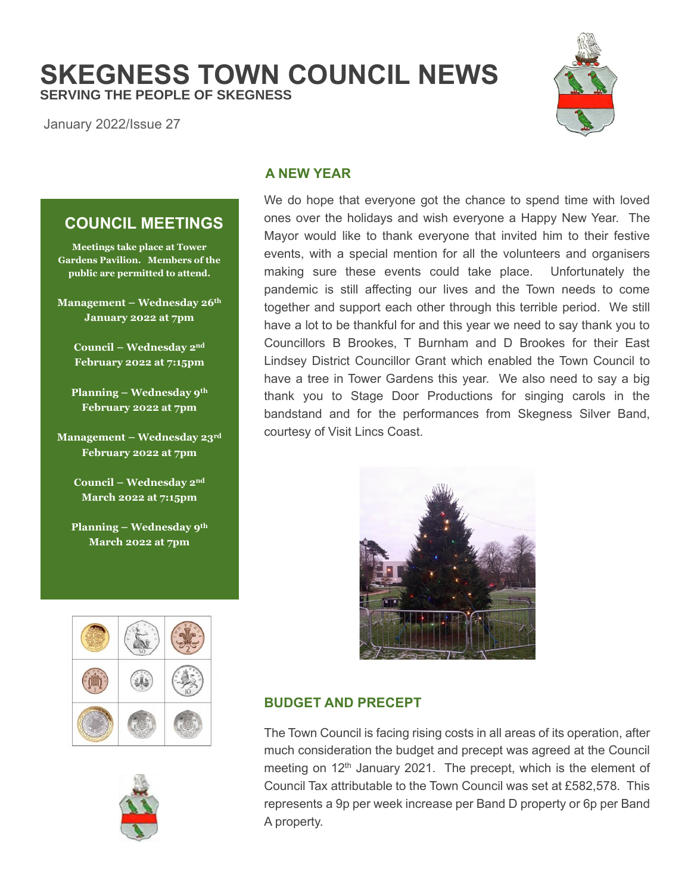**SKEGNESS TOWN COUNCIL NEWS SERVING THE PEOPLE OF SKEGNESS**

January 2022/Issue 27

# **A NEW YEAR**

We do hope that everyone got the chance to spend time with loved ones over the holidays and wish everyone a Happy New Year. The Mayor would like to thank everyone that invited him to their festive events, with a special mention for all the volunteers and organisers making sure these events could take place. Unfortunately the pandemic is still affecting our lives and the Town needs to come together and support each other through this terrible period. We still have a lot to be thankful for and this year we need to say thank you to Councillors B Brookes, T Burnham and D Brookes for their East Lindsey District Councillor Grant which enabled the Town Council to have a tree in Tower Gardens this year. We also need to say a big thank you to Stage Door Productions for singing carols in the bandstand and for the performances from Skegness Silver Band, courtesy of Visit Lincs Coast.



## **BUDGET AND PRECEPT**

The Town Council is facing rising costs in all areas of its operation, after much consideration the budget and precept was agreed at the Council meeting on 12<sup>th</sup> January 2021. The precept, which is the element of Council Tax attributable to the Town Council was set at £582,578. This represents a 9p per week increase per Band D property or 6p per Band A property.

# **COUNCIL MEETINGS**

**Meetings take place at Tower Gardens Pavilion. Members of the public are permitted to attend.**

**Management – Wednesday 26th January 2022 at 7pm**

> **Council – Wednesday 2nd February 2022 at 7:15pm**

**Planning – Wednesday 9th February 2022 at 7pm**

**Management – Wednesday 23rd February 2022 at 7pm**

> **Council – Wednesday 2nd March 2022 at 7:15pm**

**Planning – Wednesday 9th March 2022 at 7pm**